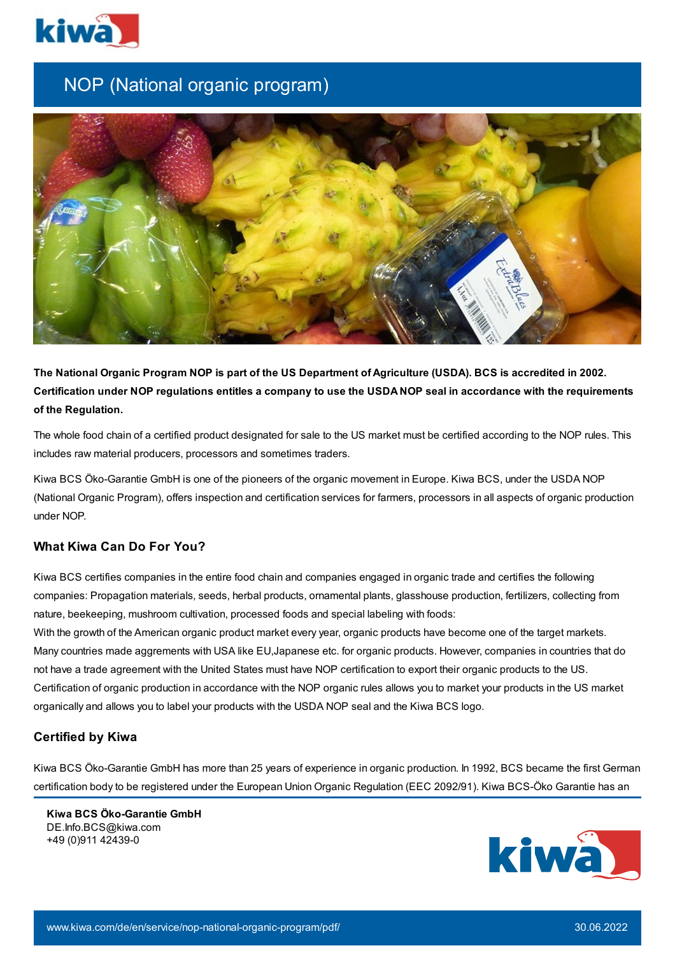

## NOP (National organic program)



The National Organic Program NOP is part of the US Department of Agriculture (USDA). BCS is accredited in 2002. Certification under NOP regulations entitles a company to use the USDA NOP seal in accordance with the requirements **of the Regulation.**

The whole food chain of a certified product designated for sale to the US market must be certified according to the NOP rules. This includes raw material producers, processors and sometimes traders.

Kiwa BCS Öko-Garantie GmbH is one of the pioneers of the organic movement in Europe. Kiwa BCS, under the USDA NOP (National Organic Program), offers inspection and certification services for farmers, processors in all aspects of organic production under NOP.

## **What Kiwa Can Do For You?**

Kiwa BCS certifies companies in the entire food chain and companies engaged in organic trade and certifies the following companies: Propagation materials, seeds, herbal products, ornamental plants, glasshouse production, fertilizers, collecting from nature, beekeeping, mushroom cultivation, processed foods and special labeling with foods:

With the growth of the American organic product market every year, organic products have become one of the target markets. Many countries made aggrements with USA like EU,Japanese etc. for organic products. However, companies in countries that do not have a trade agreement with the United States must have NOP certification to export their organic products to the US. Certification of organic production in accordance with the NOP organic rules allows you to market your products in the US market organically and allows you to label your products with the USDA NOP seal and the Kiwa BCS logo.

## **Certified by Kiwa**

Kiwa BCS Öko-Garantie GmbH has more than 25 years of experience in organic production. In 1992, BCS became the first German certification body to be registered under the European Union Organic Regulation (EEC 2092/91). Kiwa BCS-Öko Garantie has an

**Kiwa BCS Öko-Garantie GmbH** DE.Info.BCS@kiwa.com +49 (0)911 42439-0